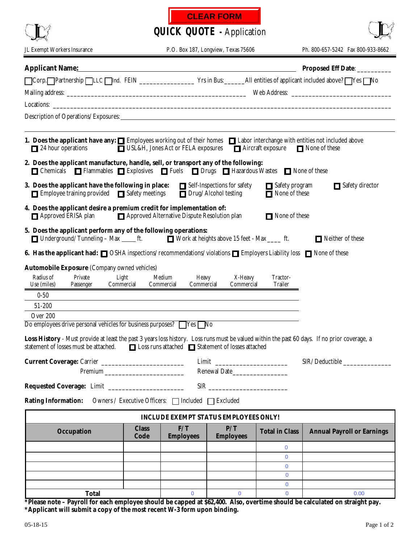| <b>CLEAR FORM</b> |  |
|-------------------|--|
|-------------------|--|

|                                                                                                                                                                                                                                                                                                                                 | <b>QUICK QUOTE - Application</b> |                         |                                                            |                                 |                                   |  |
|---------------------------------------------------------------------------------------------------------------------------------------------------------------------------------------------------------------------------------------------------------------------------------------------------------------------------------|----------------------------------|-------------------------|------------------------------------------------------------|---------------------------------|-----------------------------------|--|
| JL Exempt Workers Insurance                                                                                                                                                                                                                                                                                                     |                                  |                         | P.O. Box 187, Longview, Texas 75606                        |                                 | Ph. 800-657-5242 Fax 800-933-8662 |  |
| Applicant Name: Name: Name: Name: Name: Name: Name: Name: Name: Name: Name: Name: Name: Name: Name: Name: Name: Name: Name: Name: Name: Name: Name: Name: Name: Name: Name: Name: Name: Name: Name: Name: Name: Name: Name: Na                                                                                                  |                                  |                         |                                                            |                                 | Proposed Eff Date: _________      |  |
| □Corp. Partnership  LLC  Ind. FEIN ________________________Yrs in Bus: _______All entities of applicant included above?   Yes   No                                                                                                                                                                                              |                                  |                         |                                                            |                                 |                                   |  |
|                                                                                                                                                                                                                                                                                                                                 |                                  |                         |                                                            |                                 |                                   |  |
| Description of Operations/Exposures: Note that the contract of the contract of the contract of the contract of the contract of the contract of the contract of the contract of the contract of the contract of the contract of                                                                                                  |                                  |                         |                                                            |                                 |                                   |  |
| 1. Does the applicant have any: $\Box$ Employees working out of their homes $\Box$ Labor interchange with entities not included above<br>□ USL&H, Jones Act or FELA exposures □ Aircraft exposure<br>24 hour operations<br>None of these<br>2. Does the applicant manufacture, handle, sell, or transport any of the following: |                                  |                         |                                                            |                                 |                                   |  |
| <b>□</b> Chemicals □ Flammables □ Explosives □ Fuels □ Drugs □ Hazardous Wastes □ None of these                                                                                                                                                                                                                                 |                                  |                         |                                                            |                                 |                                   |  |
| 3. Does the applicant have the following in place:<br>Employee training provided Safety meetings                                                                                                                                                                                                                                |                                  |                         | Self-Inspections for safety<br>$\Box$ Drug/Alcohol testing | Safety program<br>None of these | $\Box$ Safety director            |  |
| 4. Does the applicant desire a premium credit for implementation of:<br>Approved Alternative Dispute Resolution plan<br>None of these<br>Approved ERISA plan                                                                                                                                                                    |                                  |                         |                                                            |                                 |                                   |  |
| 5. Does the applicant perform any of the following operations:<br>$\Box$ Underground/Tunneling - Max $\rule{1em}{0.15mm}$ ft.                                                                                                                                                                                                   |                                  |                         | ■ Work at heights above 15 feet - Max ____ ft.             |                                 | Neither of these                  |  |
| 6. Has the applicant had: $\Box$ OSHA inspections/recommendations/violations $\Box$ Employers Liability loss $\Box$ None of these                                                                                                                                                                                               |                                  |                         |                                                            |                                 |                                   |  |
| <b>Automobile Exposure (Company owned vehicles)</b><br>Radius of<br>Private<br>Medium<br>Light<br>X-Heavy<br>Tractor-<br><b>Heavy</b><br><b>Trailer</b><br>Use (miles)<br>Commercial<br>Commercial<br>Commercial<br>Commercial<br>Passenger                                                                                     |                                  |                         |                                                            |                                 |                                   |  |
| $0 - 50$                                                                                                                                                                                                                                                                                                                        |                                  |                         |                                                            |                                 |                                   |  |
| 51-200                                                                                                                                                                                                                                                                                                                          |                                  |                         |                                                            |                                 |                                   |  |
| Over 200                                                                                                                                                                                                                                                                                                                        |                                  |                         |                                                            |                                 |                                   |  |
| Do employees drive personal vehicles for business purposes? Ves<br>Loss History - Must provide at least the past 3 years loss history. Loss runs must be valued within the past 60 days. If no prior coverage, a<br>□ Loss runs attached □ Statement of losses attached<br>statement of losses must be attached.                |                                  |                         |                                                            |                                 |                                   |  |
| Current Coverage: Carrier ___________________________                                                                                                                                                                                                                                                                           |                                  |                         |                                                            |                                 |                                   |  |
|                                                                                                                                                                                                                                                                                                                                 | Renewal Date                     |                         |                                                            |                                 |                                   |  |
|                                                                                                                                                                                                                                                                                                                                 |                                  |                         |                                                            |                                 |                                   |  |
| <b>Rating Information:</b><br>Owners / Executive Officers: □ Included □ Excluded                                                                                                                                                                                                                                                |                                  |                         |                                                            |                                 |                                   |  |
| <b>INCLUDE EXEMPT STATUS EMPLOYEES ONLY!</b>                                                                                                                                                                                                                                                                                    |                                  |                         |                                                            |                                 |                                   |  |
| <b>Occupation</b>                                                                                                                                                                                                                                                                                                               | <b>Class</b><br>Code             | F/T<br><b>Employees</b> | P/T<br><b>Employees</b>                                    | <b>Total in Class</b>           | <b>Annual Payroll or Earnings</b> |  |
|                                                                                                                                                                                                                                                                                                                                 |                                  |                         |                                                            | 0                               |                                   |  |
|                                                                                                                                                                                                                                                                                                                                 |                                  |                         |                                                            | $\overline{0}$                  |                                   |  |
|                                                                                                                                                                                                                                                                                                                                 |                                  |                         |                                                            | $\mathbf{0}$<br>$\mathbf{0}$    |                                   |  |
|                                                                                                                                                                                                                                                                                                                                 |                                  |                         |                                                            | $\mathbf 0$                     |                                   |  |
| <b>Total</b>                                                                                                                                                                                                                                                                                                                    |                                  | $\mathbf{0}$            | $\mathbf 0$                                                | $\mathbf 0$                     | 0.00                              |  |

**\*Please note – Payroll for each employee should be capped at \$62,400. Also, overtime should be calculated on straight pay. \*Applicant will submit a copy of the most recent W-3 form upon binding.**